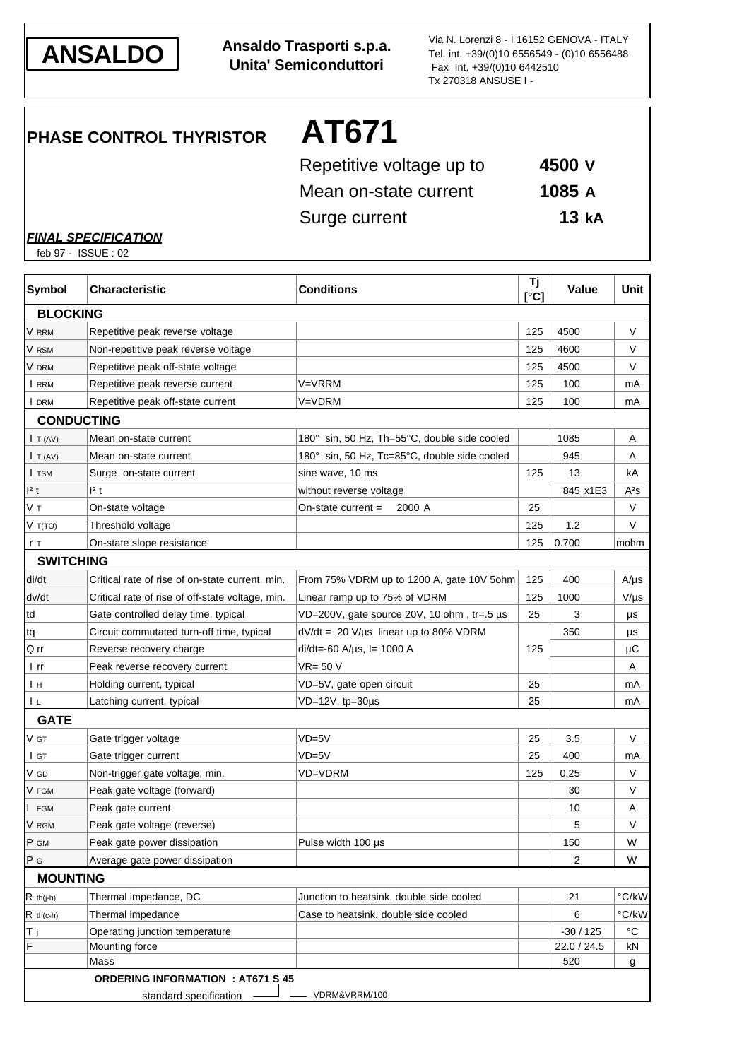

**ANSALDO Ansaldo Trasporti s.p.a. Unita' Semiconduttori**

Via N. Lorenzi 8 - I 16152 GENOVA - ITALY Tel. int. +39/(0)10 6556549 - (0)10 6556488 Fax Int. +39/(0)10 6442510 Tx 270318 ANSUSE I -

**PHASE CONTROL THYRISTOR AT671**

| Repetitive voltage up to | 4500 V           |
|--------------------------|------------------|
| Mean on-state current    | 1085 A           |
| Surge current            | 13 <sub>ka</sub> |

*FINAL SPECIFICATION*

feb 97 - ISSUE : 02

| <b>Symbol</b>       | <b>Characteristic</b>                            | <b>Conditions</b>                                  | Τj<br>[°C] | Value       | <b>Unit</b> |
|---------------------|--------------------------------------------------|----------------------------------------------------|------------|-------------|-------------|
| <b>BLOCKING</b>     |                                                  |                                                    |            |             |             |
| V RRM               | Repetitive peak reverse voltage                  |                                                    | 125        | 4500        | V           |
| V rsm               | Non-repetitive peak reverse voltage              |                                                    | 125        | 4600        | $\vee$      |
| V drm               | Repetitive peak off-state voltage                |                                                    | 125        | 4500        | V           |
| I RRM               | Repetitive peak reverse current                  | V=VRRM                                             | 125        | 100         | mA          |
| I DRM               | Repetitive peak off-state current                | V=VDRM                                             | 125        | 100         | mA          |
|                     | <b>CONDUCTING</b>                                |                                                    |            |             |             |
| I T (AV)            | Mean on-state current                            | 180° sin, 50 Hz, Th=55°C, double side cooled       |            | 1085        | Α           |
| $\mathsf{I}$ T (AV) | Mean on-state current                            | 180° sin, 50 Hz, Tc=85°C, double side cooled       |            | 945         | Α           |
| I TSM               | Surge on-state current                           | sine wave, 10 ms                                   | 125        | 13          | kA          |
| 1 <sup>2</sup> t    | 2t                                               | without reverse voltage                            |            | 845 x1E3    | $A^2S$      |
| Vт                  | On-state voltage                                 | 2000 A<br>On-state current $=$                     | 25         |             | V           |
| V T(TO)             | Threshold voltage                                |                                                    | 125        | 1.2         | V           |
| r T                 | On-state slope resistance                        |                                                    | 125        | 0.700       | mohm        |
| <b>SWITCHING</b>    |                                                  |                                                    |            |             |             |
| di/dt               | Critical rate of rise of on-state current, min.  | From 75% VDRM up to 1200 A, gate 10V 5ohm          | 125        | 400         | $A/\mu s$   |
| dv/dt               | Critical rate of rise of off-state voltage, min. | Linear ramp up to 75% of VDRM                      | 125        | 1000        | $V/\mu s$   |
| td                  | Gate controlled delay time, typical              | $VD=200V$ , gate source 20V, 10 ohm, tr=.5 $\mu$ s | 25         | 3           | μs          |
| tq                  | Circuit commutated turn-off time, typical        | $dV/dt = 20 V/\mu s$ linear up to 80% VDRM         |            | 350         | μs          |
| Q rr                | Reverse recovery charge                          | $di/dt = 60$ A/ $\mu$ s, I = 1000 A                | 125        |             | μC          |
| l rr                | Peak reverse recovery current                    | $VR = 50 V$                                        |            |             | Α           |
| Ιн                  | Holding current, typical                         | VD=5V, gate open circuit                           | 25         |             | mA          |
| ΙL                  | Latching current, typical                        | $VD=12V$ , tp=30 $\mu$ s                           | 25         |             | mA          |
| <b>GATE</b>         |                                                  |                                                    |            |             |             |
| V gt                | Gate trigger voltage                             | $VD = 5V$                                          | 25         | 3.5         | V           |
| I GT                | Gate trigger current                             | $VD = 5V$                                          | 25         | 400         | mA          |
| V GD                | Non-trigger gate voltage, min.                   | VD=VDRM                                            | 125        | 0.25        | V           |
| V FGM               | Peak gate voltage (forward)                      |                                                    |            | 30          | V           |
| <b>FGM</b>          | Peak gate current                                |                                                    |            | 10          | A           |
| V RGM               | Peak gate voltage (reverse)                      |                                                    |            | 5           | V           |
| P GM                | Peak gate power dissipation                      | Pulse width 100 us                                 |            | 150         | W           |
| P G                 | Average gate power dissipation                   |                                                    |            | 2           | W           |
| <b>MOUNTING</b>     |                                                  |                                                    |            |             |             |
| $R$ th(j-h)         | Thermal impedance, DC                            | Junction to heatsink, double side cooled           |            | 21          | °C/kW       |
| $R$ th(c-h)         | Thermal impedance                                | Case to heatsink, double side cooled               |            | 6           | °C/kW       |
| T <sub>j</sub>      | Operating junction temperature                   |                                                    |            | $-30/125$   | $^{\circ}C$ |
| F                   | Mounting force                                   |                                                    |            | 22.0 / 24.5 | kN          |
|                     | Mass                                             |                                                    |            | 520         | g           |
|                     | <b>ORDERING INFORMATION : AT671 S 45</b>         |                                                    |            |             |             |
|                     | standard specification                           | VDRM&VRRM/100                                      |            |             |             |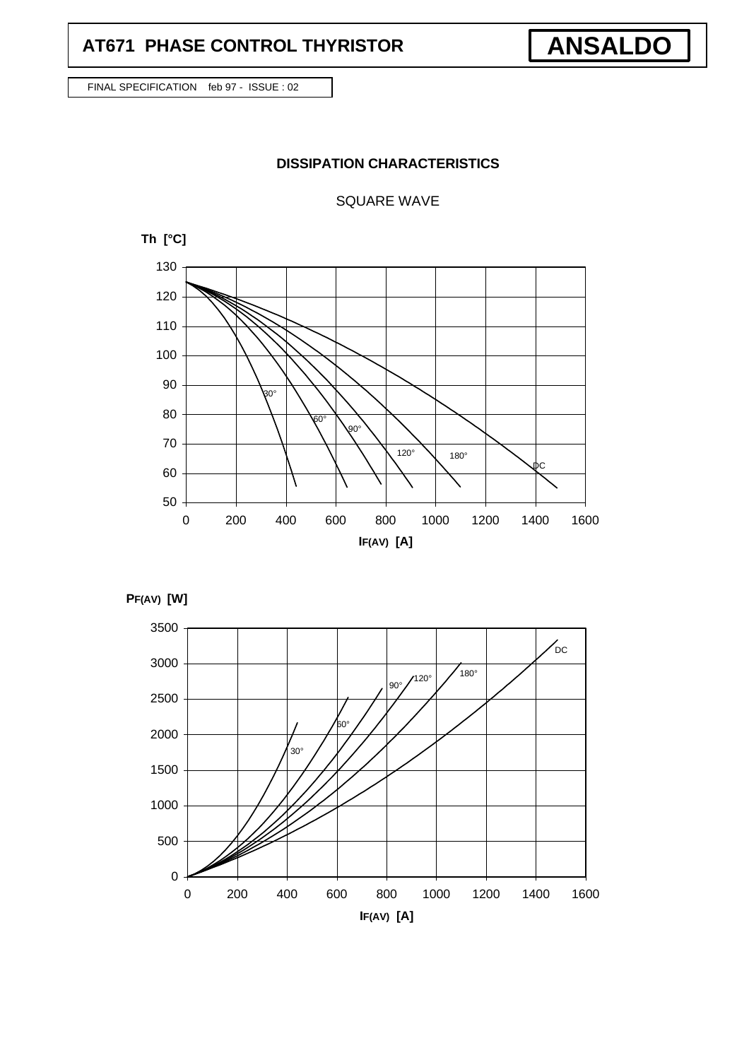# **AT671 PHASE CONTROL THYRISTOR**

FINAL SPECIFICATION feb 97 - ISSUE : 02

## **DISSIPATION CHARACTERISTICS**

**ANSALDO**

SQUARE WAVE





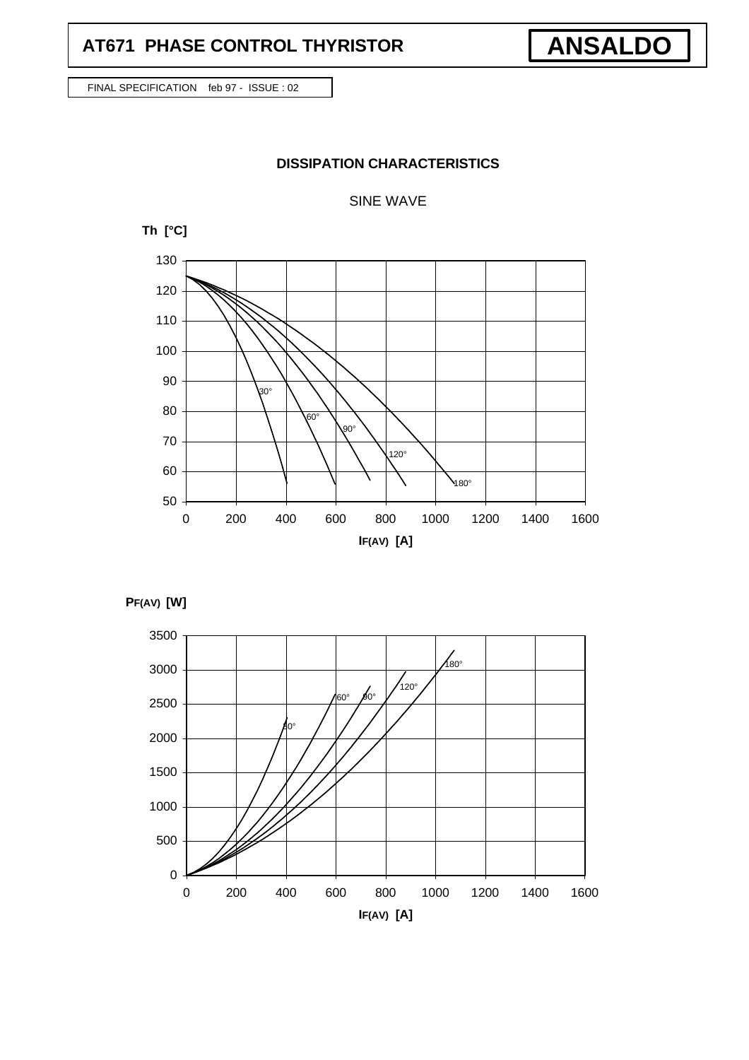## **AT671 PHASE CONTROL THYRISTOR**

FINAL SPECIFICATION feb 97 - ISSUE : 02

## **DISSIPATION CHARACTERISTICS**

### SINE WAVE